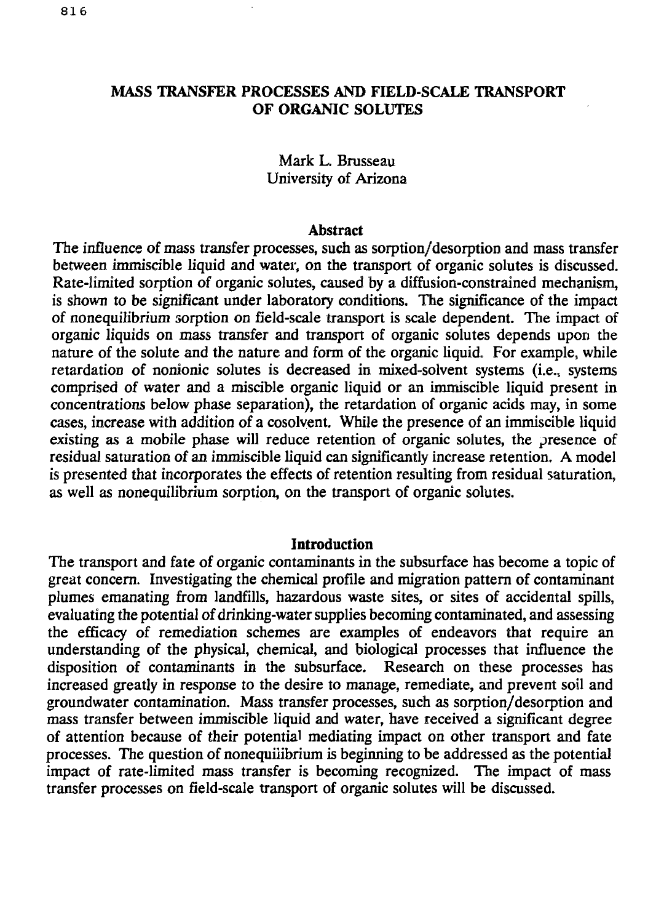### **MASS TRANSFER PROCESSES AND FIELD-SCALE TRANSPORT OF ORGANIC SOLUTES**

## Mark L. Brusseau University of Arizona

#### **Abstract**

The influence of mass transfer processes, such as sorption/desorption and mass transfer between immiscible liquid and water, on the transport of organic solutes is discussed. Rate-limited sorption of organic solutes, caused by a diffusion-constrained mechanism, is shown to be significant under laboratory conditions. The significance of the impact of nonequilibrium sorption on field-scale transport is scale dependent. The impact of organic liquids on mass transfer and transport of organic solutes depends upon the nature of the solute and the nature and form of the organic liquid. For example, while retardation of nonionic solutes is decreased in mixed-solvent systems (i.e., systems comprised of water and a miscible organic liquid or an immiscible liquid present in concentrations below phase separation), the retardation of organic acids may, in some cases, increase with addition of a cosolvent. While the presence of an immiscible liquid existing as a mobile phase will reduce retention of organic solutes, the presence of residual saturation of an immiscible liquid can significantly increase retention. A model is presented that incorporates the effects of retention resulting from residual saturation, as well as nonequilibrium sorption, on the transport of organic solutes.

#### **Introduction**

The transport and fate of organic contaminants in the subsurface has become a topic of great concern. Investigating the chemical profile and migration pattern of contaminant plumes emanating from landfills, hazardous waste sites, or sites of accidental spills, evaluating the potential of drinking-water supplies becoming contaminated, and assessing the efficacy of remediation schemes are examples of endeavors that require an understanding of the physical, chemical, and biological processes that influence the disposition of contaminants in the subsurface. Research on these processes has increased greatly in response *to* the desire to manage, remediate, and prevent soil and groundwater contamination. Mass transfer processes, such as sorption/desorption and mass transfer between immiscible liquid and water, have received a significant degree of attention because of their potential mediating impact on other transport and fate processes. The question of nonequiiibrium is beginning to be addressed as the potential impact of rate-limited mass transfer is becoming recognized. The impact of mass transfer processes on field-scale transport of organic solutes will be discussed.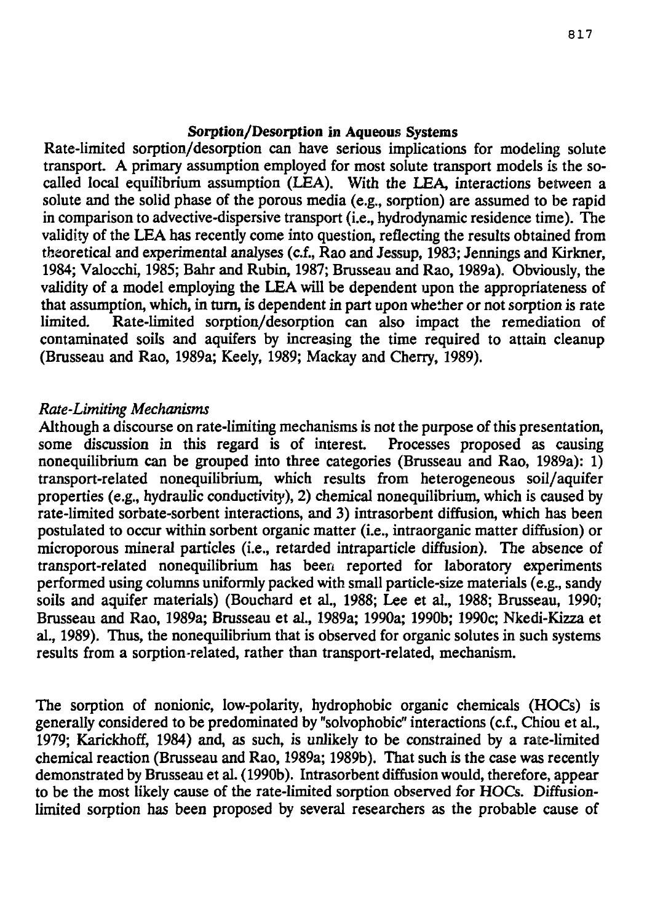#### Sorption/Desorption in Aqueous Systems

Rate-limited sorption/desorption can have serious implications for modeling solute transport. A primary assumption employed for most solute transport models is the socalled local equilibrium assumption (LEA). With the LEA, interactions between a solute and the solid phase of the porous media (e.g., sorption) are assumed to be rapid in comparison to advective-dispersive transport (i.e., hydrodynamic residence time). The validity of the LEA has recently come into question, reflecting the results obtained from theoretical and experimental analyses (c.f., Rao and Jessup, 1983; Jennings and Kirkner, 1984; Valocchi, 1985; Bahr and Rubin, 1987; Brusseau and Rao, 1989a). Obviously, the validity of a model employing the LEA will be dependent upon the appropriateness of that assumption, which, in turn, is dependent in part upon whether or not sorption is rate limited. Rate-limited sorption/desorption can also impact the remediation of contaminated soils and aquifers by increasing the time required to attain cleanup (Brusseau and Rao, 1989a; Keely, 1989; Mackay and Cherry, 1989).

#### *Rate-Limiting Mechanisms*

Although a discourse on rate-limiting mechanisms is not the purpose of this presentation, some discussion in this regard is of interest. Processes proposed as causing nonequilibrium can be grouped into three categories (Brusseau and Rao, 1989a): 1) transport-related nonequilibrium, which results from heterogeneous soil/aquifer properties (e.g., hydraulic conductivity), 2) chemical nonequilibrium, which is caused by rate-limited sorbate-sorbent interactions, and 3) intrasorbent diffusion, which has been postulated to occur within sorbent organic matter (i.e., intraorganic matter diffusion) or microporous mineral particles (i.e., retarded intraparticle diffusion). The absence of transport-related nonequilibrium has been reported for laboratory experiments performed using columns uniformly packed with small particle-size materials (e.g., sandy soils and aquifer materials) (Bouchard et al., 1988; Lee et al., 1988; Brusseau, 1990; Brusseau and Rao, 1989a; Brusseau et al., 1989a; 1990a; 1990b; 1990c; Nkedi-Kizza et al., 1989). Thus, the nonequilibrium that is observed for organic solutes in such systems results from a sorption-related, rather than transport-related, mechanism.

The sorption of nonionic, low-polarity, hydrophobic organic chemicals (HOCs) is generally considered to be predominated by "solvophobic" interactions (c.f., Chiou et al., 1979; Karickhoff, 1984) and, as such, is unlikely to be constrained by a rate-limited chemical reaction (Brusseau and Rao, 1989a; 1989b). That such is the case was recently demonstrated by Brusseau et al. (1990b). Intrasorbent diffusion would, therefore, appear to be the most likely cause of the rate-limited sorption observed for HOCs. Diffusionlimited sorption has been proposed by several researchers as the probable cause of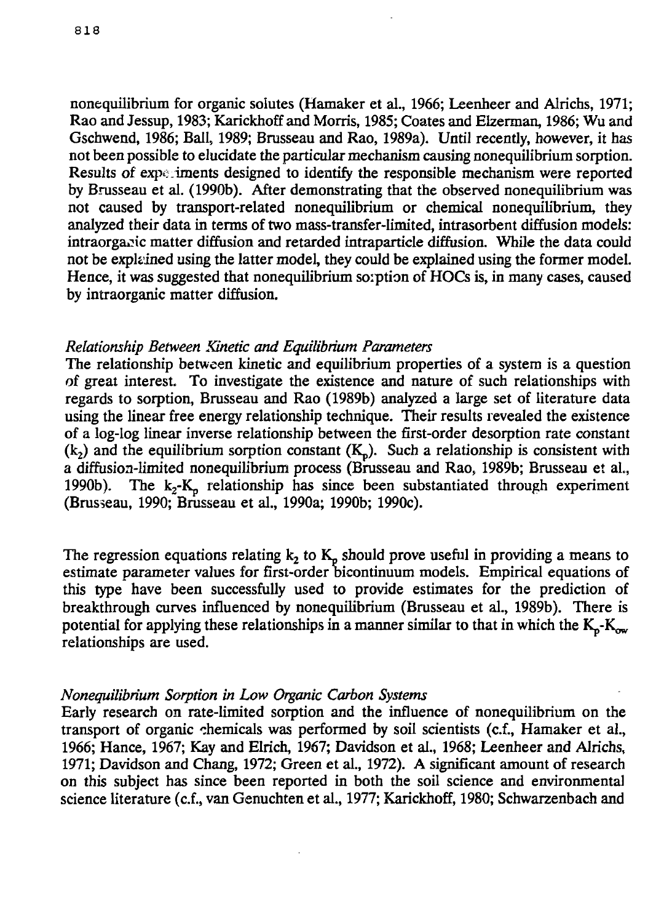nonequilibrium for organic solutes (Hamaker et al., 1966; Leenheer and Alrichs, 1971; Rao and Jessup, 1983; Karickhoff and Morris, 1985; Coates and Elzennan, 1986; Wu and Gschwend, 1986; Ball, 1989; Brusseau and Rao, 1989a). Until recently, however, it has not been possible to elucidate the particular mechanism causing nonequilibrium sorption. Results of expe iments designed to identify the responsible mechanism were reported by Brusseau et al. (1990b). After demonstrating that the observed nonequilibrium was not caused by transport-related nonequilibrium or chemical nonequilibrium, they analyzed their data in terms of two mass-transfer-limited, intrasorbent diffusion models: intraorga^ic matter diffusion and retarded intraparticle diffusion. While the data could not be explained using the latter model, they could be explained using the former model. Hence, it was suggested that nonequilibrium soiption of HOCs is, in many cases, caused by intraorganic matter diffusion.

#### *Relationship Between Kinetic and Equilibrium Parameters*

The relationship between kinetic and equilibrium properties of a system is a question of great interest. To investigate the existence and nature of such relationships with regards to sorption, Brusseau and Rao (1989b) analyzed a large set of literature data using the linear free energy relationship technique. Their results revealed the existence of a log-log linear inverse relationship between the first-order desorption rate constant  $(k_2)$  and the equilibrium sorption constant  $(K_n)$ . Such a relationship is consistent with a diffusion-limited nonequilibrium process (Brusseau and Rao, 1989b; Brusseau et al., 1990b). The  $k_2-K_p$  relationship has since been substantiated through experiment (Brusseau, 1990; Brusseau et al., 1990a; 1990b; 1990c).

The regression equations relating  $k_2$  to  $K_p$  should prove useful in providing a means to estimate parameter values for first-order bicontinuum models. Empirical equations of this type have been successfully used to provide estimates for the prediction of breakthrough curves influenced by nonequilibrium (Brusseau et al., 1989b). There is potential for applying these relationships in a manner similar to that in which the  $K_p$ - $K_{ow}$ relationships are used.

#### *Nonequilibrium Sorption in Low Organic Carbon Systems*

Early research on rate-limited sorption and the influence of nonequilibrium on the transport of organic chemicals was performed by soil scientists (c.f., Hamaker et al., 1966; Hance, 1967; Kay and Elrich, 1967; Davidson et al., 1968; Leenheer and Alrichs, 1971; Davidson and Chang, 1972; Green et al., 1972). A significant amount of research on this subject has since been reported in both the soil science and environmental science literature (c.f., van Genuchten et al., 1977; Karickhoff, 1980; Schwarzenbach and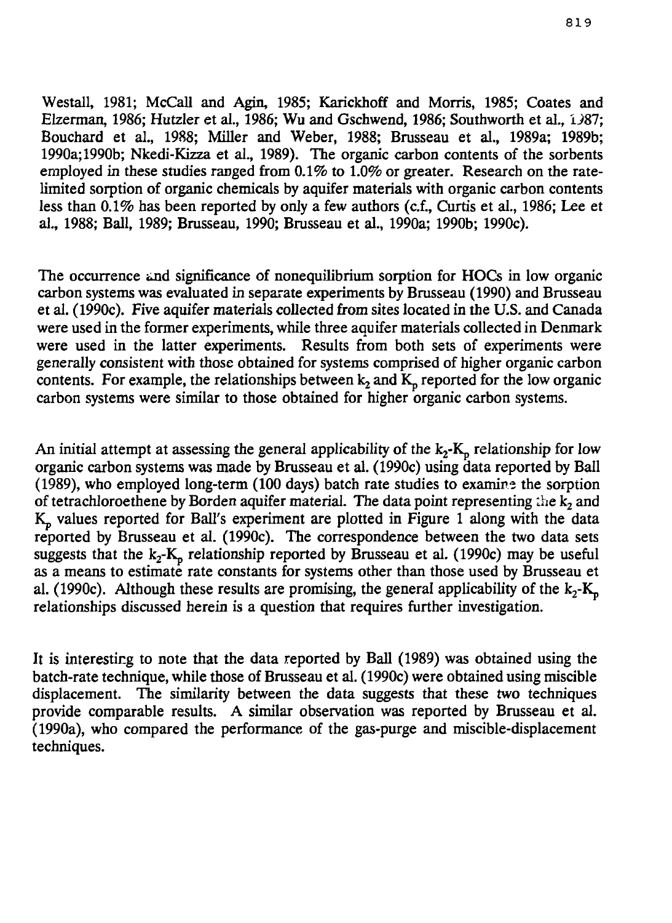Westall, 1981; McCall and Agin, 1985; Karickhoff and Morris, 1985; Coates and Elzerman, 1986; Hutzler et al., 1986; Wu and Gschwend, 1986; Southworth et al.,  $1\frac{387}{1000}$ ; Bouchard et al., 1988; Miller and Weber, 1988; Brusseau et al., 1989a; 1989b; 1990a; 1990b; Nkedi-Kizza et al., 1989). The organic carbon contents of the sorbents employed in these studies ranged from 0.1% to 1.0% or greater. Research on the ratelimited sorption of organic chemicals by aquifer materials with organic carbon contents less than 0.1% has been reported by only a few authors (c.f., Curtis et al., 1986; Lee et al., 1988; Ball, 1989; Brusseau, 1990; Brusseau et al., 1990a; 1990b; 1990c).

The occurrence and significance of nonequilibrium sorption for HOCs in low organic carbon systems was evaluated in separate experiments by Brusseau (1990) and Brusseau et al. (1990c). Five aquifer materials collected from sites located in the U.S. and Canada were used in the former experiments, while three aquifer materials collected in Denmark were used in the latter experiments. Results from both sets of experiments were generally consistent with those obtained for systems comprised of higher organic carbon contents. For example, the relationships between  $k_2$  and  $K_p$  reported for the low organic carbon systems were similar to those obtained for higher organic carbon systems.

An initial attempt at assessing the general applicability of the  $k_2$ -K<sub>p</sub> relationship for low organic carbon systems was made by Brusseau et al. (1990c) using data reported by Ball (1989), who employed long-term (100 days) batch rate studies to examine the sorption of tetrachloroethene by Borden aquifer material. The data point representing the  $k_2$  and  $K_p$  values reported for Ball's experiment are plotted in Figure 1 along with the data reported by Brusseau et al. (1990c). The correspondence between the two data sets suggests that the  $k_2$ -K<sub>p</sub> relationship reported by Brusseau et al. (1990c) may be useful as a means to estimate rate constants for systems other than those used by Brusseau et al. (1990c). Although these results are promising, the general applicability of the  $k_2$ - $K_p$ relationships discussed herein is a question that requires further investigation.

It is interesting to note that the data reported by Ball (1989) was obtained using the batch-rate technique, while those of Brusseau et al. (1990c) were obtained using miscible displacement. The similarity between the data suggests that these two techniques provide comparable results. A similar observation was reported by Brusseau et al. (1990a), who compared the performance of the gas-purge and miscible-displacement techniques.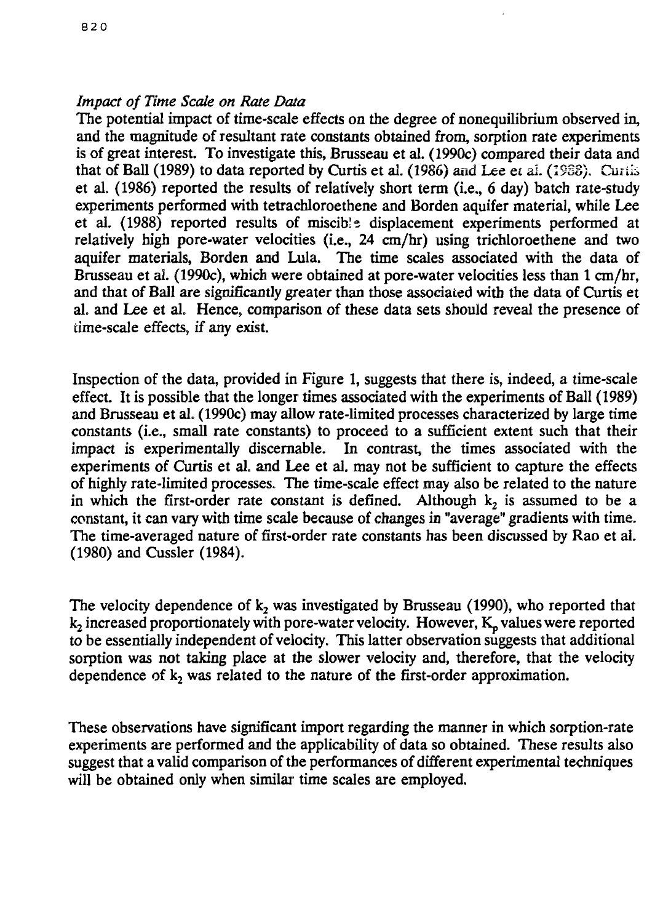## *Impact of Time Scale on Rate Data*

The potential impact of time-scale effects on the degree of nonequilibrium observed in, and the magnitude of resultant rate constants obtained from, sorption rate experiments is of great interest. To investigate this, Brusseau et al. (1990c) compared their data and that of Ball (1989) to data reported by Curtis et al. (1986) and Lee et al. (1988). Curtis et al. (1986) reported the results of relatively short term (i.e., 6 day) batch rate-study experiments performed with tetrachloroethene and Borden aquifer material, while Lee et al. (1988) reported results of miscib!e displacement experiments performed at relatively high pore-water velocities (i.e., 24 cm/hr) using trichloroethene and two aquifer materials, Borden and Lula. The time scales associated with the data of Brusseau et ai. (1990c), which were obtained at pore-water velocities less than 1 cm/hr, and that of Ball are significantly greater than those associated with the data of Curtis et al. and Lee et al. Hence, comparison of these data sets should reveal the presence of time-scale effects, if any exist.

Inspection of the data, provided in Figure 1, suggests that there is, indeed, a time-scale effect. It is possible that the longer times associated with the experiments of Ball (1989) and Brusseau et al. (1990c) may allow rate-limited processes characterized by large time constants (i.e., small rate constants) to proceed to a sufficient extent such that their In contrast, the times associated with the experiments of Curtis et al. and Lee et al. may not be sufficient to capture the effects of highly rate-limited processes. The time-scale effect may also be related to the nature in which the first-order rate constant is defined. Although  $k_2$  is assumed to be a constant, it can vary with time scale because of changes in "average" gradients with time. The time-averaged nature of first-order rate constants has been discussed by Rao et al. (1980) and Cussler (1984).

The velocity dependence of  $k_2$  was investigated by Brusseau (1990), who reported that  $k<sub>2</sub>$  increased proportionately with pore-water velocity. However,  $K<sub>n</sub>$  values were reported to be essentially independent of velocity. This latter observation suggests that additional sorption was not taking place at the slower velocity and, therefore, that the velocity dependence of k<sub>2</sub> was related to the nature of the first-order approximation.

These observations have significant import regarding the manner in which sorption-rate experiments are performed and the applicability of data so obtained. These results also suggest that a valid comparison of the performances of different experimental techniques will be obtained only when similar time scales are employed.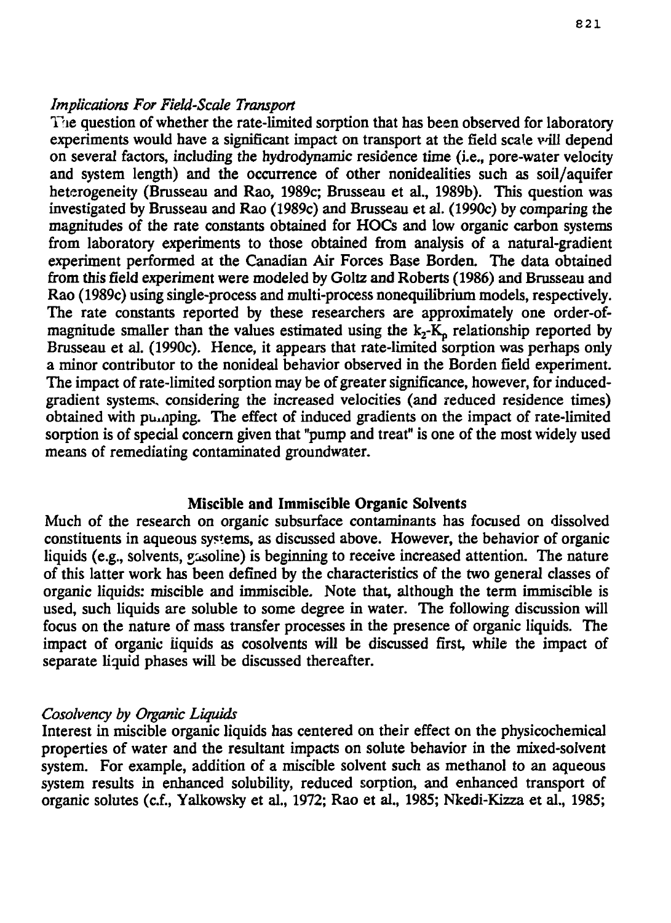### *Implications For Field-Scale Transport*

The question of whether the rate-limited sorption that has been observed for laboratory experiments would have a significant impact on transport at the field scale vill depend on several factors, including the hydrodynamic residence time (i.e., pore-water velocity and system length) and the occurrence of other nonidealities such as soil/aquifer heterogeneity (Brusseau and Rao, 1989c; Brusseau et al., 1989b). This question was investigated by Brusseau and Rao (1989c) and Brusseau et al. (1990c) by comparing the magnitudes of the rate constants obtained for HOCs and low organic carbon systems from laboratory experiments to those obtained from analysis of a natural-gradient experiment performed at the Canadian Air Forces Base Borden. The data obtained from this field experiment were modeled by Goltz and Roberts (1986) and Brusseau and Rao (1989c) using single-process and multi-process nonequilibrium models, respectively. The rate constants reported by these researchers are approximately one order-ofmagnitude smaller than the values estimated using the  $k<sub>2</sub>$ -K<sub>p</sub> relationship reported by Brusseau et al. (1990c). Hence, it appears that rate-limited sorption was perhaps only a minor contributor to the nonideal behavior observed in the Borden field experiment. The impact of rate-limited sorption may be of greater significance, however, for inducedgradient systems, considering the increased velocities (and reduced residence times) obtained with puraping. The effect of induced gradients on the impact of rate-limited sorption is of special concern given that "pump and treat" is one of the most widely used means of remediating contaminated groundwater.

#### Miscible and Immiscible Organic Solvents

Much of the research on organic subsurface contaminants has focused on dissolved constituents in aqueous systems, as discussed above. However, the behavior of organic liquids (e.g., solvents, *qasoline*) is beginning to receive increased attention. The nature of this latter work has been defined by the characteristics of the two general classes of organic liquids: miscible and immiscible. Note that, although the term immiscible is used, such liquids are soluble to some degree in water. The following discussion will focus on the nature of mass transfer processes in the presence of organic liquids. The impact of organic liquids as cosolvents will be discussed first, while the impact of separate liquid phases will be discussed thereafter.

#### *Cosolvency by Organic Liquids*

Interest in miscible organic liquids has centered on their effect on the physicochemical properties of water and the resultant impacts on solute behavior in the mixed-solvent system. For example, addition of a miscible solvent such as methanol *to* an aqueous system results in enhanced solubility, reduced sorption, and enhanced transport of organic solutes (c.f., Yalkowsky et al., 1972; Rao et al., 1985; Nkedi-Kizza et al., 1985;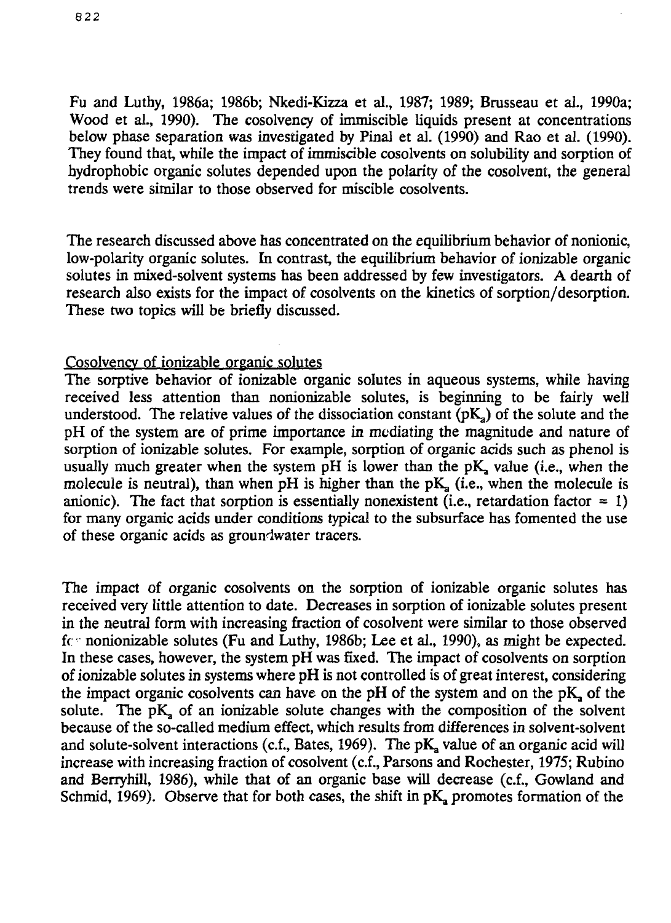Fu and Luthy, 1986a; 1986b; Nkedi-Kizza et al., 1987; 1989; Brusseau et aL, 1990a; Wood et al., 1990). The cosolvency of immiscible liquids present at concentrations below phase separation was investigated by Pinal et al. (1990) and Rao et al. (1990). They found that, while the impact of immiscible cosolvents on solubility and sorption of hydrophobic organic solutes depended upon the polarity of the cosolvent, the general trends were similar to those observed for miscible cosolvents.

The research discussed above has concentrated on the equilibrium behavior of nonionic, low-polarity organic solutes. In contrast, the equilibrium behavior of ionizable organic solutes in mixed-solvent systems has been addressed by few investigators. A dearth of research also exists for the impact of cosolvents on the kinetics of sorption/desorption. These two topics will be briefly discussed.

### Cosolvency of ionizable organic solutes

The sorptive behavior of ionizable organic solutes in aqueous systems, while having received less attention than nonionizable solutes, is beginning to be fairly well understood. The relative values of the dissociation constant  $(pK_a)$  of the solute and the pH of the system are of prime importance *in* mediating the magnitude and nature of sorption of ionizable solutes. For example, sorption of organic acids such as phenol is usually much greater when the system  $pH$  is lower than the  $pK$ , value (i.e., when the molecule is neutral), than when pH is higher than the pK, (i.e., when the molecule is anionic). The fact that sorption is essentially nonexistent (i.e., retardation factor = 1) for many organic acids under conditions typical to the subsurface has fomented the use of these organic acids as groundwater tracers.

The impact of organic cosolvents on the sorption of ionizable organic solutes has received very little attention to date. Decreases in sorption of ionizable solutes present in the neutral form with increasing fraction of cosolvent were similar to those observed fc nonionizable solutes (Fu and Luthy, 1986b; Lee et al., 1990), as might be expected. In these cases, however, the system pH was fixed. The impact of cosolvents on sorption of ionizable solutes in systems where pH is not controlled is of great interest, considering the impact organic cosolvents can have on the pH of the system and on the  $pK$ , of the solute. The  $pK$ , of an ionizable solute changes with the composition of the solvent because of the so-called medium effect, which results from differences in solvent-solvent and solute-solvent interactions (c.f., Bates, 1969). The  $pK_a$  value of an organic acid will increase with increasing fraction of cosolvent (c.f., Parsons and Rochester, 1975; Rubino and Berryhill, 1986), while that of an organic base will decrease (c.f., Gowland and Schmid, 1969). Observe that for both cases, the shift in  $pK_a$  promotes formation of the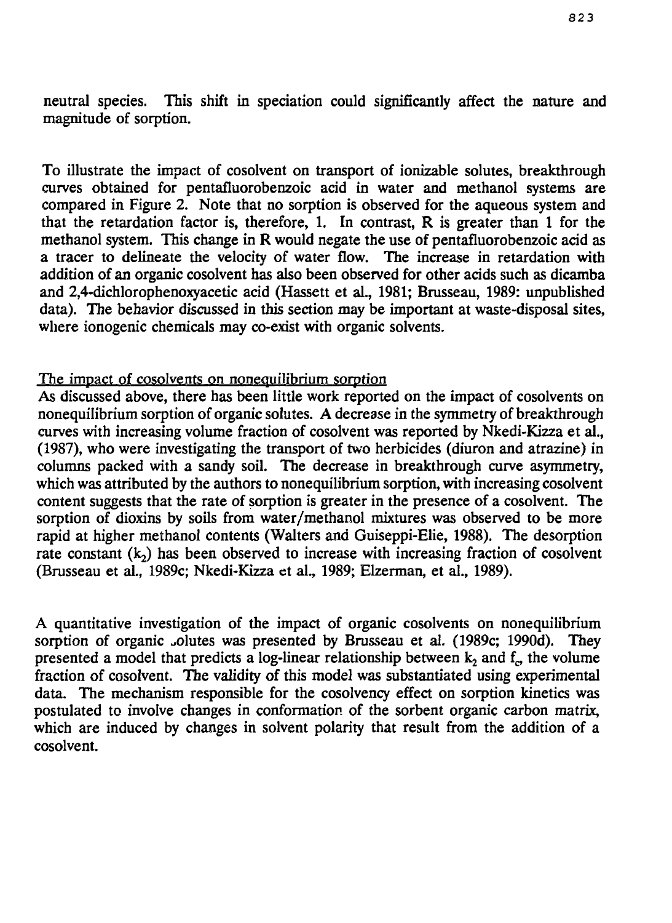neutral species. This shift in speciation could significantly affect the nature and magnitude of sorption.

To illustrate the impact of cosolvent on transport of ionizable solutes, breakthrough curves obtained for pentafluorobenzoic acid in water and methanol systems are compared in Figure 2. Note that no sorption is observed for the aqueous system and that the retardation factor is, therefore, 1. In contrast, R is greater than 1 for the methanol system. This change in R would negate the use of pentafluorobenzoic acid as a tracer to delineate the velocity of water flow. The increase in retardation with addition of an organic cosolvent has also been observed for other acids such as dicamba and 2,4-dichlorophenoxyacetic acid (Hassett et al., 1981; Brusseau, 1989: unpublished data). The behavior discussed in this section may be important at waste-disposal sites, where ionogenic chemicals may co-exist with organic solvents.

### The impact of cosolvents on nonequilibrium sorption

As discussed above, there has been little work reported on the impact of cosolvents on nonequilibrium sorption of organic solutes. A decrease in the symmetry of breakthrough curves with increasing volume fraction of cosolvent was reported by Nkedi-Kizza et al., (1987), who were investigating the transport of two herbicides (diuron and atrazine) in columns packed with a sandy soil. The decrease in breakthrough curve asymmetry, which was attributed by the authors to nonequilibrium sorption, with increasing cosolvent content suggests that the rate of sorption is greater in the presence of a cosolvent. The sorption of dioxins by soils from water/methanol mixtures was observed to be more rapid at higher methanol contents (Walters and Guiseppi-Elie, 1988). The desorption rate constant  $(k_2)$  has been observed to increase with increasing fraction of cosolvent (Brusseau et al., 1989c; Nkedi-Kizza et al., 1989; Elzerman, et al., 1989).

A quantitative investigation of the impact of organic cosolvents on nonequilibrium sorption of organic olutes was presented by Brusseau et al. (1989c; 1990d). They presented a model that predicts a log-linear relationship between  $k_2$  and  $f^{\prime}$ , the volume fraction of cosolvent. The validity of this model was substantiated using experimental data. The mechanism responsible for the cosolvency effect on sorption kinetics was postulated to involve changes in conformation of the sorbent organic carbon matrix, which are induced by changes in solvent polarity that result from the addition of a cosolvent.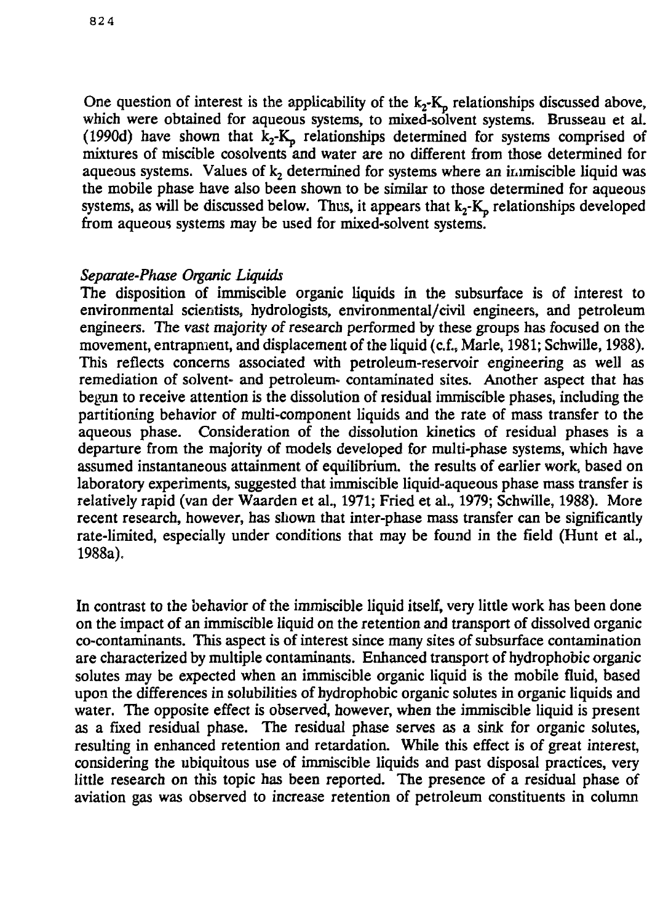One question of interest is the applicability of the  $k_2$ - $K_p$  relationships discussed above, which were obtained for aqueous systems, to mixed-solvent systems. Brusseau et al. (1990d) have shown that  $k_2$ -K<sub>p</sub> relationships determined for systems comprised of mixtures of miscible cosolvents and water are no different from those determined for aqueous systems. Values of  $k<sub>2</sub>$  determined for systems where an immiscible liquid was the mobile phase have also been shown to be similar to those determined for aqueous systems, as will be discussed below. Thus, it appears that  $k_2$ - $K_p$  relationships developed from aqueous systems may be used for mixed-solvent systems.

### *Separate-Phase Organic Liquids*

The disposition of immiscible organic liquids in the subsurface is of interest to environmental scientists, hydrologists, environmental/civil engineers, and petroleum engineers. The vast majority of research performed by these groups has focused on the movement, entrapment, and displacement of the liquid (c.f., Marie, 1981; Schwille, 1988). This reflects concerns associated with petroleum-reservoir engineering as well as remediation of solvent- and petroleum- contaminated sites. Another aspect that has begun to receive attention is the dissolution of residual immiscible phases, including the partitioning behavior of multi-component liquids and the rate of mass transfer to the aqueous phase. Consideration of the dissolution kinetics of residual phases is a departure from the majority of models developed for multi-phase systems, which have assumed instantaneous attainment of equilibrium, the results of earlier work, based on laboratory experiments, suggested that immiscible liquid-aqueous phase mass transfer is relatively rapid (van der Waarden et al., 1971; Fried et al., 1979; Schwille, 1988). More recent research, however, has shown that inter-phase mass transfer can be significantly rate-limited, especially under conditions that may be found in the field (Hunt et al., 1988a).

In contrast to the behavior of the immiscible liquid itself, very little work has been done on the impact of an immiscible liquid on the retention and transport of dissolved organic co-contaminants. This aspect is of interest since many sites of subsurface contamination are characterized by multiple contaminants. Enhanced transport of hydrophobic organic solutes may be expected when an immiscible organic liquid is the mobile fluid, based upon the differences in solubilities of hydrophobic organic solutes in organic liquids and water. The opposite effect is observed, however, when the immiscible liquid is present as a fixed residual phase. The residual phase serves as a sink for organic solutes, resulting in enhanced retention and retardation. While this effect is of great interest, considering the ubiquitous use of immiscible liquids and past disposal practices, very little research on this topic has been reported. The presence of a residual phase of aviation gas was observed to increase retention of petroleum constituents in column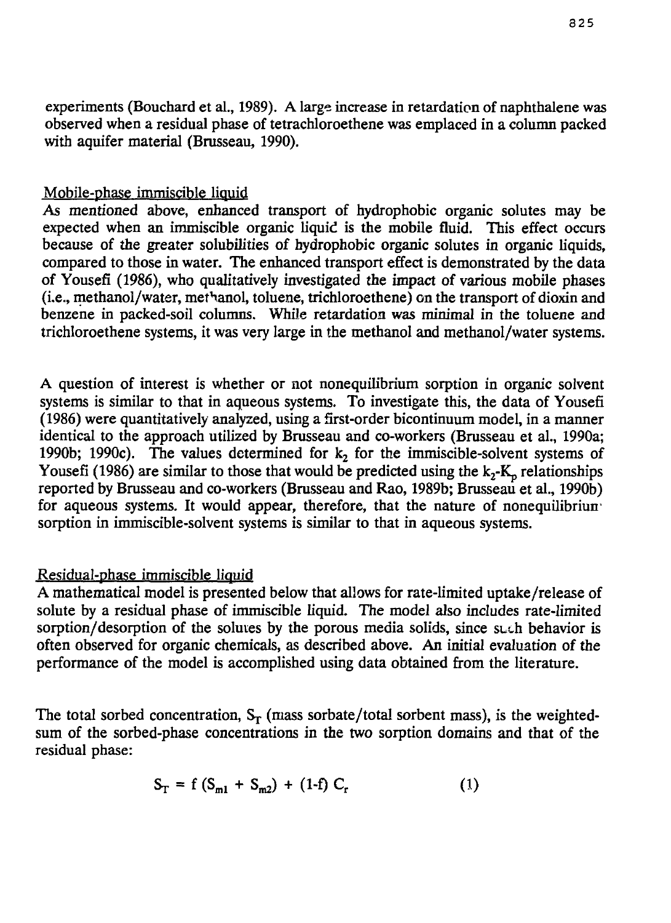experiments (Bouchard et al., 1989). A large increase in retardation of naphthalene was observed when a residual phase of tetrachloroethene was emplaced in a column packed with aquifer material (Brusseau, 1990).

# Mobile-phase immiscible liquid

*As* mentioned above, enhanced transport of hydrophobic organic solutes may be expected when an immiscible organic liquid is the mobile fluid. This effect occurs because of the greater solubilities of hydrophobic organic solutes in organic liquids, compared to those in water. The enhanced transport effect is demonstrated by the data of Yousefi (1986), who qualitatively investigated the impact of various mobile phases (i.e., methanol/water, met^anol, toluene, trichloroethene) on the transport of dioxin and benzene in packed-soil columns. While retardation was minimal in the toluene and trichloroethene systems, it was very large in the methanol and methanol/water systems.

A question of interest is whether or not nonequilibrium sorption in organic solvent systems is similar to that in aqueous systems. To investigate this, the data of Yousefi (1986) were quantitatively analyzed, using a first-order bicontinuum model, in a manner identical to the approach utilized by Brusseau and co-workers (Brusseau et al., 1990a; 1990b; 1990c). The values determined for  $k_2$  for the immiscible-solvent systems of Yousefi (1986) are similar to those that would be predicted using the  $k_2$ -K<sub>p</sub> relationships reported by Brusseau and co-workers (Brusseau and Rao, 1989b; Brusseau et al., 1990b) for aqueous systems. It would appear, therefore, that the nature of nonequilibriun' sorption in immiscible-solvent systems is similar to that in aqueous systems.

# Residual-phase immiscible liquid

A mathematical model is presented below that allows for rate-limited uptake/release of solute by a residual phase of immiscible liquid. The model also includes rate-limited sorption/desorption of the solutes by the porous media solids, since such behavior is often observed for organic chemicals, as described above. An initial evaluation of the performance of the model is accomplished using data obtained from the literature.

The total sorbed concentration,  $S_T$  (mass sorbate/total sorbent mass), is the weightedsum of the sorbed-phase concentrations in the two sorption domains and that of the residual phase:

$$
S_T = f (S_{m1} + S_{m2}) + (1-f) C_r
$$
 (1)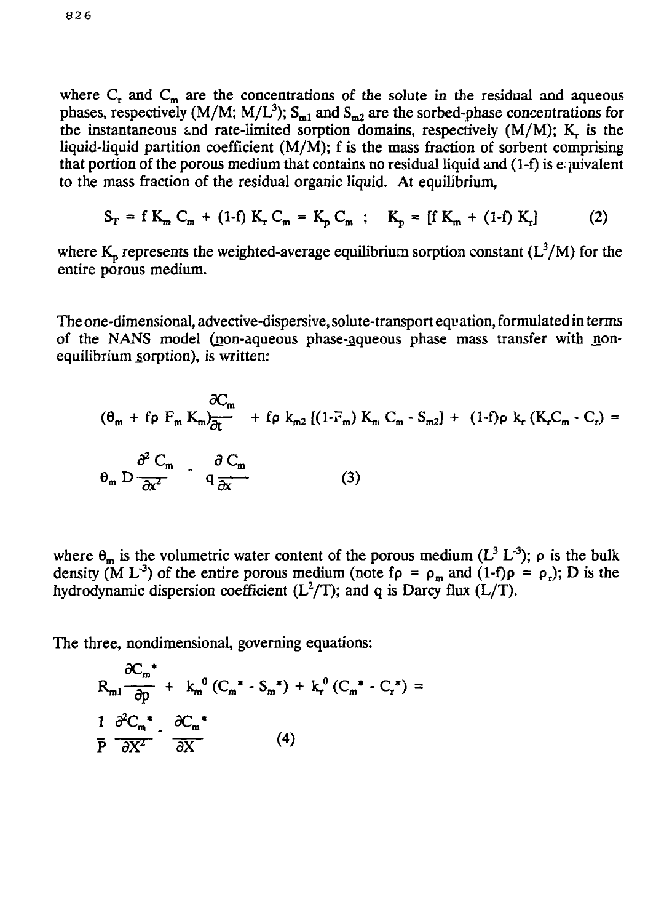where  $C_r$  and  $C_m$  are the concentrations of the solute in the residual and aqueous phases, respectively (M/M; M/L<sup>3</sup>); S<sub>m1</sub> and S<sub>m2</sub> are the sorbed-phase concentrations for the instantaneous and rate-limited sorption domains, respectively (M/M); *K^ is* the liquid-liquid partition coefficient  $(M/M)$ ; f is the mass fraction of sorbent comprising that portion of the porous medium that contains no residual liquid and (1-f) is e- juivalent to the mass fraction of the residual organic liquid. At equilibrium,

$$
S_{T} = f K_{m} C_{m} + (1-f) K_{r} C_{m} = K_{p} C_{m} ; K_{p} = [f K_{m} + (1-f) K_{r}]
$$
 (2)

where  $K_p$  represents the weighted-average equilibrium sorption constant ( $L^3/M$ ) for the entire porous medium.

The one-dimensional, advective-dispersive, solute-transport equation, formulated in terms of the NANS model (non-aqueous phase-aqueous phase mass transfer with nonequilibrium sorption), is written:

$$
(\theta_{m} + f \rho F_{m} K_{m}) \frac{\partial C_{m}}{\partial t} + f \rho k_{m2} [(1 - \overline{r}_{m}) K_{m} C_{m} - S_{m2}] + (1 - f) \rho k_{r} (K_{r} C_{m} - C_{r}) =
$$
  

$$
\theta_{m} D \frac{\partial^{2} C_{m}}{\partial x^{2}} - q \frac{\partial C_{m}}{\partial x}
$$
 (3)

where  $\theta_m$  is the volumetric water content of the porous medium  $(L^3 L^3)$ ;  $\rho$  is the bulk density (M L<sup>-3</sup>) of the entire porous medium (note f $\rho = \rho_m$  and (1-f) $\rho = \rho_r$ ); D is the hydrodynamic dispersion coefficient  $(L^2/T)$ ; and q is Darcy flux  $(L/T)$ .

The three, nondimensional, governing equations:

$$
R_{m1} \frac{\partial C_m^*}{\partial p} + k_m^0 (C_m^* - S_m^*) + k_r^0 (C_m^* - C_r^*) =
$$
  

$$
\frac{1}{P} \frac{\partial^2 C_m^*}{\partial X^2} - \frac{\partial C_m^*}{\partial X}
$$
 (4)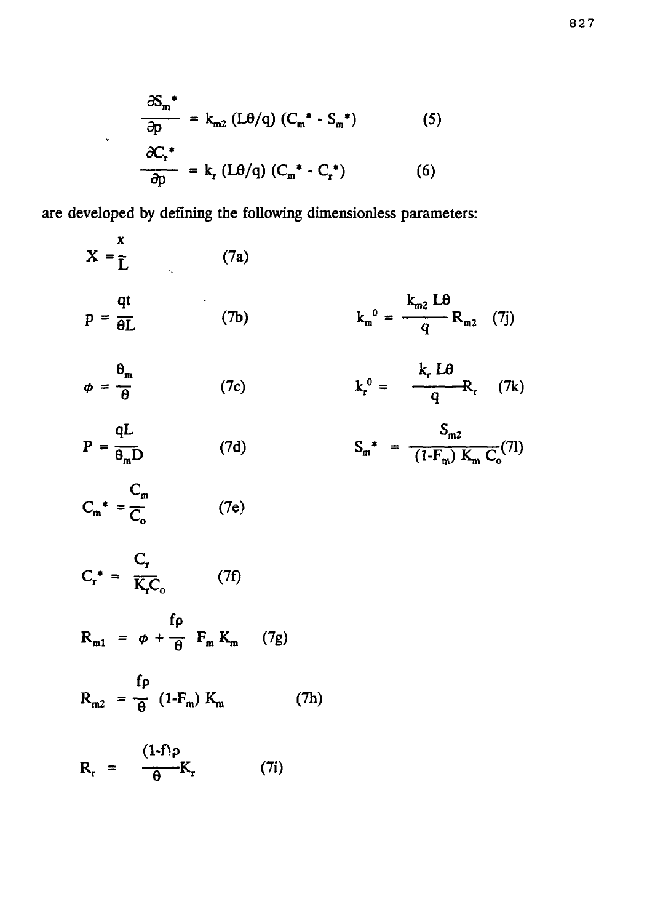$$
\frac{\partial S_m^*}{\partial p} = k_{m2} (L\theta/q) (C_m^* \cdot S_m^*)
$$
 (5)  

$$
\frac{\partial C_r^*}{\partial p} = k_r (L\theta/q) (C_m^* \cdot C_r^*)
$$
 (6)

veloped by defining the following dimensionless parameters:

$$
X = \frac{x}{L} \qquad (7a)
$$
  
\n
$$
p = \frac{qt}{\theta L} \qquad (7b) \qquad k_m^0 = \frac{k_{m2} L \theta}{q} R_{m2} \qquad (7j)
$$
  
\n
$$
\phi = \frac{\theta_m}{\theta} \qquad (7c) \qquad k_r^0 = \frac{k_r L \theta}{q} R_r \qquad (7k)
$$
  
\n
$$
P = \frac{qL}{\theta_m D} \qquad (7d) \qquad S_m^* = \frac{S_{m2}}{(1 \cdot F_m) K_m C_o} (7l)
$$
  
\n
$$
C_m^* = \frac{C_r}{C_o} \qquad (7e)
$$
  
\n
$$
C_r^* = \frac{C_r}{K_r C_o} \qquad (7f)
$$
  
\n
$$
R_{m1} = \phi + \frac{f \rho}{\theta} F_m K_m \qquad (7g)
$$
  
\n
$$
R_{m2} = \frac{f \rho}{\theta} (1 \cdot F_m) K_m \qquad (7h)
$$

$$
R_r = \frac{1}{\theta} K_r \qquad (7i)
$$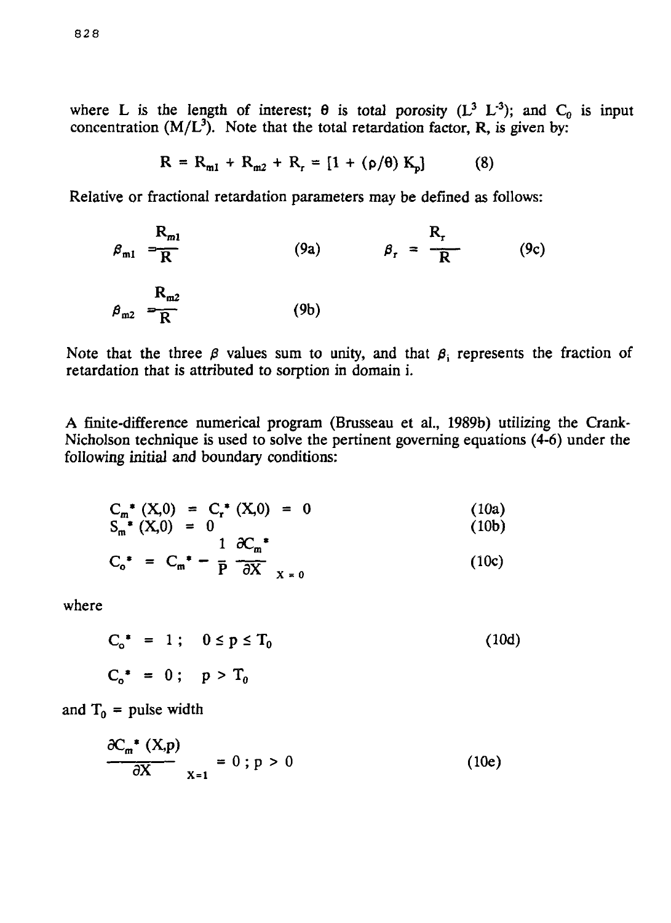where L is the length of interest;  $\theta$  is total porosity ( $L^3$   $L^{-3}$ ); and  $C_0$  is input concentration  $(M/L^3)$ . Note that the total retardation factor, R, is given by:

$$
R = R_{m1} + R_{m2} + R_r = [1 + (\rho/\theta) K_p]
$$
 (8)

Relative or fractional retardation parameters may be defined as follows:

$$
\beta_{m1} = \frac{R_{m1}}{R}
$$
 (9a)  $\beta_r = \frac{R_r}{R}$  (9c)  

$$
\beta_{m2} = \frac{R_{m2}}{R}
$$
 (9b)

Note that the three  $\beta$  values sum to unity, and that  $\beta_i$  represents the fraction of retardation that is attributed to sorption in domain i.

A finite-difference numerical program (Brusseau et al., 1989b) utilizing the Crank-Nicholson technique is used to solve the pertinent governing equations (4-6) under the following initial and boundary conditions:

$$
C_m^* (X,0) = C_r^* (X,0) = 0
$$
\n(10a)  
\n
$$
S_m^* (X,0) = 0
$$
\n(10b)  
\n
$$
C_o^* = C_m^* - \frac{1}{P} \frac{\partial C_m^*}{\partial X} \frac{1}{X=0}
$$
\n(10c)

where

$$
C_o^* = 1; \quad 0 \le p \le T_0
$$
  

$$
C_o^* = 0; \quad p > T_0
$$
 (10d)

and  $T_0$  = pulse width

$$
\frac{\partial C_m^* (X, p)}{\partial X} \bigg|_{X=1} = 0 \; ; \; p > 0 \tag{10e}
$$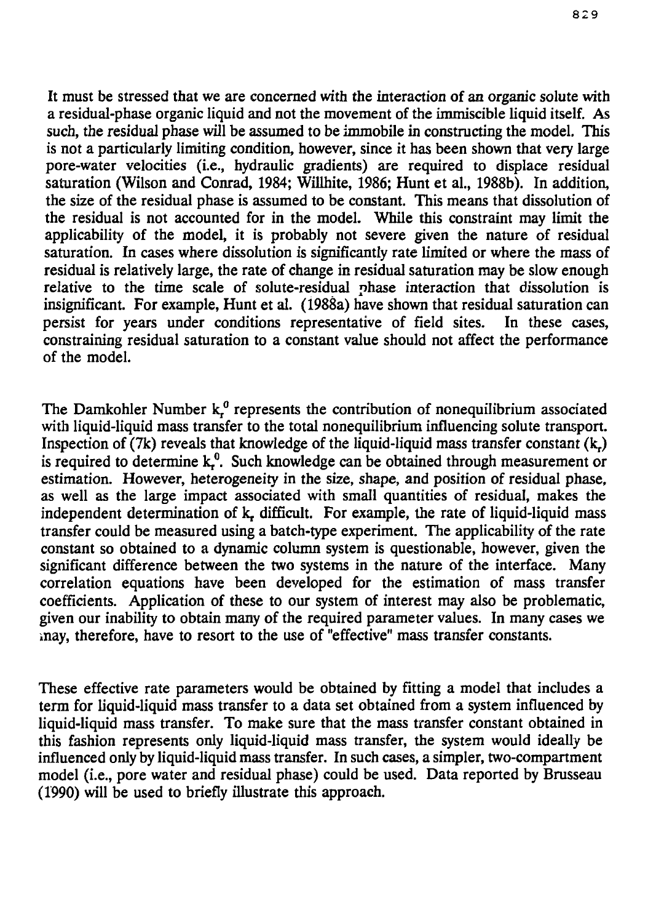It must be stressed that we are concerned with the interaction of an organic solute with a residual-phase organic liquid and not the movement of the immiscible liquid itself. As such, the residual phase will be assumed to be immobile in constructing the model. This is not a particularly limiting condition, however, since it has been shown that very large pore-water velocities (i.e., hydraulic gradients) are required to displace residual saturation (Wilson and Conrad, 1984; Willhite, 1986; Hunt et al., 1988b). In addition, the size of the residual phase is assumed to be constant. This means that dissolution of the residual is not accounted for in the model. While this constraint may limit the applicability of the model, it is probably not severe given the nature of residual saturation. In cases where dissolution is significantly rate limited or where the mass of residual is relatively large, the rate of change in residual saturation may be slow enough relative to the time scale of solute-residual phase interaction that dissolution is insignificant. For example, Hunt et al. (1988a) have shown that residual saturation can persist for years under conditions representative of field sites. In these cases, constraining residual saturation to a constant value should not affect the performance of the model.

The Damkohler Number  $k_f^0$  represents the contribution of nonequilibrium associated with liquid-liquid mass transfer to the total nonequilibrium influencing solute transport. Inspection of  $(7k)$  reveals that knowledge of the liquid-liquid mass transfer constant  $(k)$ is required to determine  $k_r^0$ . Such knowledge can be obtained through measurement or estimation. However, heterogeneity in the size, shape, and position of residual phase, as well as the large impact associated with small quantities of residual, makes the independent determination of k, difficult. For example, the rate of liquid-liquid mass transfer could be measured using a batch-type experiment. The applicability of the rate constant so obtained to a dynamic column system is questionable, however, given the significant difference between the two systems in the nature of the interface. Many correlation equations have been developed for the estimation of mass transfer coefficients. Application of these to our system of interest may also be problematic, given our inability to obtain many of the required parameter values. In many cases we .nay, therefore, have to resort to the use of "effective" mass transfer constants.

These effective rate parameters would be obtained by fitting a model that includes a term for liquid-liquid mass transfer to a data set obtained from a system influenced by liquid-liquid mass transfer. To make sure that the mass transfer constant obtained in this fashion represents only liquid-liquid mass transfer, the system would ideally be influenced only by liquid-liquid mass transfer. In such cases, a simpler, two-compartment model (i.e., pore water and residual phase) could be used. Data reported by Brusseau (1990) will be used to briefly illustrate this approach.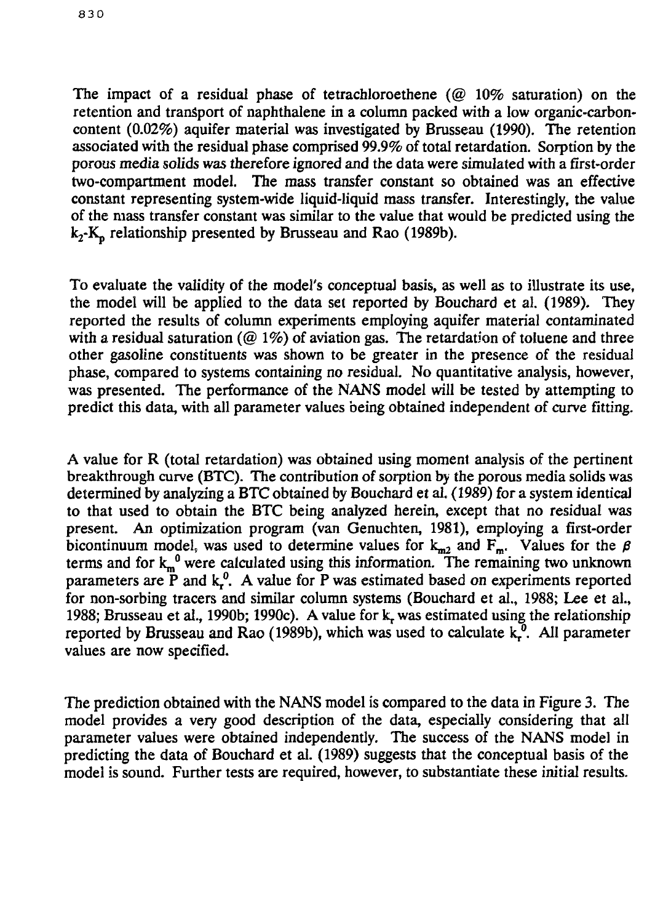The impact of a residual phase of tetrachloroethene ( $@10\%$  saturation) on the retention and transport of naphthalene in a column packed with a low organic-carboncontent (0.02%) aquifer material was investigated by Brusseau (1990). The retention associated with the residual phase comprised 99.9% of total retardation. Sorption by the porous media solids was therefore ignored and the data were simulated with a first-order two-compartment model. The mass transfer constant so obtained was an effective constant representing system-wide liquid-liquid mass transfer. Interestingly, the value of the mass transfer constant was similar to the value that would be predicted using the  $k_2$ -K<sub>n</sub> relationship presented by Brusseau and Rao (1989b).

To evaluate the validity of the model's conceptual basis, as well as to illustrate its use, the model will be applied to the data set reported by Bouchard et al. (1989). They reported the results of column experiments employing aquifer material contaminated with a residual saturation ( $@1\%$ ) of aviation gas. The retardation of toluene and three other gasoline constituents was shown to be greater in the presence of the residual phase, compared to systems containing no residual. No quantitative analysis, however, was presented. The performance of the NANS model will be tested by attempting to predict this data, with all parameter values being obtained independent of curve fitting.

A value for R (total retardation) was obtained using moment analysis of the pertinent breakthrough curve (BTC). The contribution of sorption by the porous media solids was determined by analyzing a BTC obtained by Bouchard et al. (1989) for a system identical to that used to obtain the BTC being analyzed herein, except that no residual was present. An optimization program (van Genuchten, 1981), employing a first-order bicontinuum model, was used to determine values for  $k_{m2}$  and  $F_m$ . Values for the  $\beta$ terms and for  $k_m^0$  were calculated using this information. The remaining two unknown parameters are  $\mathbf{\ddot{P}}$  and  $\mathbf{k}_r^0$ . A value for P was estimated based on experiments reported for non-sorbing tracers and similar column systems (Bouchard et al., 1988; Lee et al., 1988; Brusseau et al., 1990b; 1990c). A value for k, was estimated using the relationship reported by Brusseau and Rao (1989b), which was used to calculate  $k_t^0$ . All parameter values are now specified.

The prediction obtained with the NANS model is compared to the data in Figure 3. The model provides a very good description of the data, especially considering that all parameter values were obtained independently. The success of the NANS model in predicting the data of Bouchard et al. (1989) suggests that the conceptual basis of the model is sound. Further tests are required, however, to substantiate these initial results.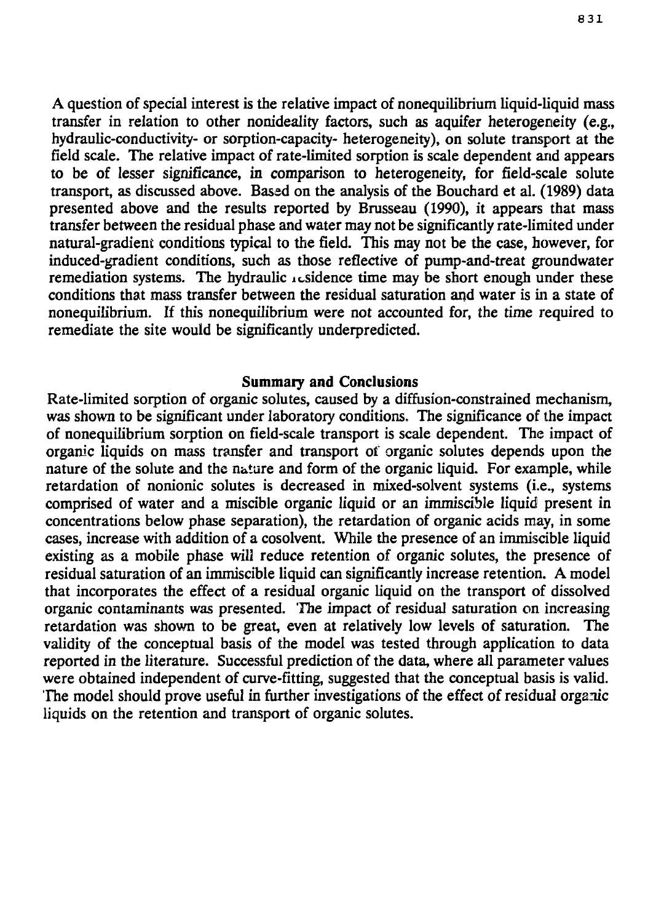A question of special interest is the relative impact of nonequilibrium liquid-liquid mass transfer in relation to other nonideality factors, such as aquifer heterogeneity (e.g., hydraulic-conductivity- or sorption-capacity- heterogeneity), on solute transport at the field scale. The relative impact of rate-limited sorption is scale dependent arid appears to be of lesser significance, in comparison *to* heterogeneity, for field-scale solute transport, as discussed above. Based on the analysis of the Bouchard et al. (1989) data presented above and the results reported by Brusseau (1990), it appears that mass transfer between the residual phase and water may not be significantly rate-limited under natural-gradient conditions typical to the field. This may not be the case, however, for induced-gradient conditions, such as those reflective of pump-and-treat groundwater remediation systems. The hydraulic icsidence time may be short enough under these conditions that mass transfer between the residual saturation and water is in a state of nonequilibrium. If this nonequilibrium were not accounted for, the time required to remediate the site would be significantly underpredicted.

#### **Summaiy and Conclusions**

Rate-limited sorption of organic solutes, caused by a diffusion-constrained mechanism, was shown to be significant under laboratory conditions. The significance of the impact of nonequilibrium sorption on field-scale transport is scale dependent. The impact of organic liquids on mass transfer and transport of organic solutes depends upon the nature of the solute and the nature and form of the organic liquid. For example, while retardation of nonionic solutes is decreased in mixed-solvent systems (i.e., systems comprised of water and a miscible organic liquid or an immiscible liquid present in concentrations below phase separation), the retardation of organic acids may, in some cases, increase with addition of a cosolvent. While the presence of an immiscible liquid existing as a mobile phase will reduce retention of organic solutes, the presence of residual saturation of an immiscible liquid can significantly increase retention. A model that incorporates the effect of a residual organic liquid on the transport of dissolved organic contaminants was presented. The impact of residual saturation on increasing retardation was shown to be great, even at relatively low levels of saturation. The validity of the conceptual basis of the model was tested through application to data reported in the literature. Successful prediction of the data, where all parameter values were obtained independent of curve-fitting, suggested that the conceptual basis is valid. The model should prove useful in further investigations of the effect of residual organic liquids on the retention and transport of organic solutes.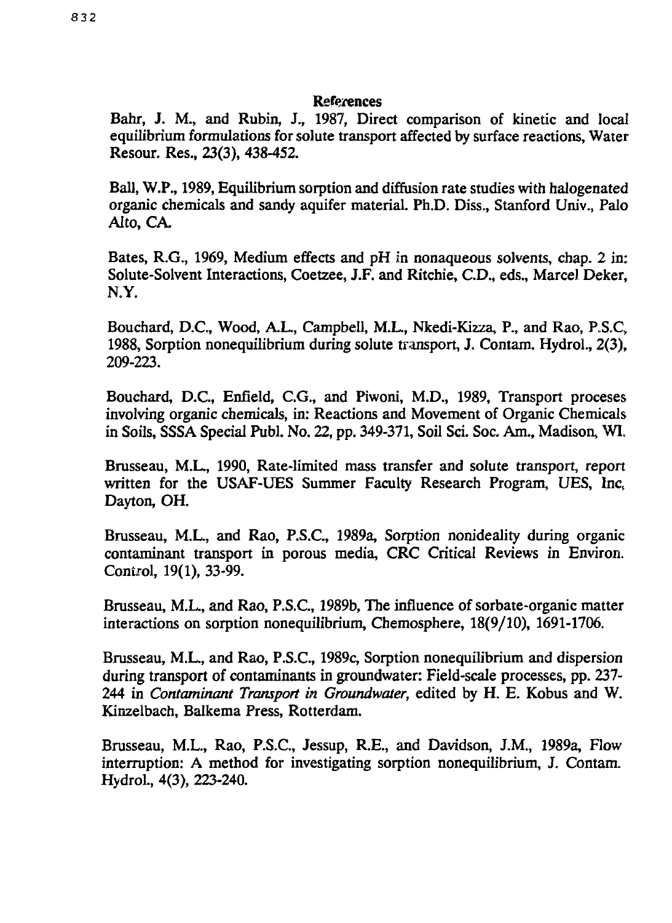#### References

Bahr, J. M., and Rubin, J., 1987, Direct comparison of kinetic and local equilibrium formulations for solute transport affected by surface reactions, Water Resour. Res., 23(3), 438-452.

Ball, W.P., 1989, Equilibrium sorption and diffusion rate studies with halogenated organic chemicals and sandy aquifer material. Ph.D. Diss., Stanford Univ., Palo Alto, CA.

Bates, R.G., 1969, Medium effects and pH in nonaqueous solvents, chap. 2 in: Solute-Solvent Interactions, Coetzee, J.F. and Ritchie, CD., eds., Marcel Deker, N.Y.

Bouchard, D.C., Wood, A.L., Campbell, M.L., Nkedi-Kizza, P., and Rao, P.S.C, 1988, Sorption nonequilibrium during solute transport, J. Contam. Hydrol., 2(3), 209-223.

Bouchard, D.C., Enfield, C.G., and Piwoni, M.D., 1989, Transport proceses involving organic chemicals, in: Reactions and Movement of Organic Chemicals in Soils, SSSA Special Publ. No. 22, pp. 349-371, Soil Sci. Soc. Am., Madison, WI.

Brusseau, M.L., 1990, Rate-limited mass transfer and solute transport, report written for the USAF-UES Summer Faculty Research Program, UES, Inc. Dayton, OH.

Brusseau, M.L., and Rao, P.S.C., 1989a, Sorption nonideality during organic contaminant transport in porous media, CRC Critical Reviews in Environ. Control, 19(1), 33-99.

Brusseau, M.L., and Rao, P.S.C., 1989b, The influence of sorbate-organic matter interactions on sorption nonequilibrium, Chemosphere, 18(9/10), 1691-1706.

Brusseau, M.L., and Rao, P.S.C., 1989c, Sorption nonequilibrium and dispersion during transport of contaminants in groundwater: Field-scale processes, pp. 237- 244 in *Contaminant Transport in Groundwater,* edited by H. E. Kobus and W. Kinzelbach, Balkema Press, Rotterdam.

Brusseau, M.L., Rao, P.S.C., Jessup, R.E., and Davidson, J.M., 1989a, Flow interruption: A method for investigating sorption nonequilibrium, J. Contam. Hydrol., 4(3), 223-240.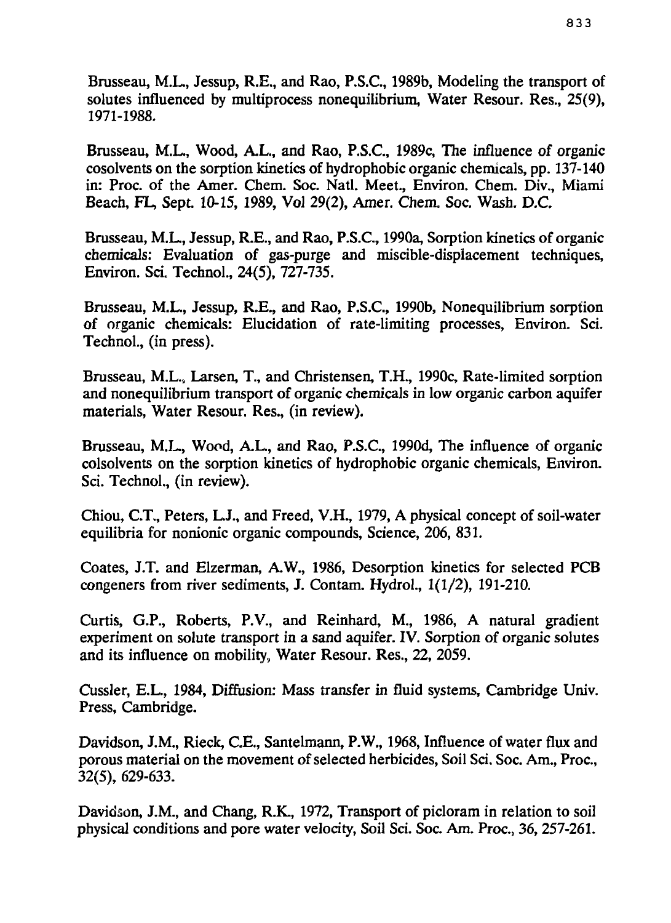Brusseau, M.L., Jessup, R.E., and Rao, P.S.C., 1989b, Modeling the transport of solutes influenced by multiprocess nonequilibrium, Water Resour. Res., 25(9), 1971-1988.

Brusseau, M.L., Wood, A.L., and Rao, P.S.C., 1989c, The influence of organic cosolvents on the sorption kinetics of hydrophobic organic chemicals, pp. 137-140 in: Proc. of the Amer. Chem. Soc. Natl. Meet., Environ. Chem. Div., Miami Beach, FL, Sept. 10-15, 1989, Vol 29(2), Amer. Chem. Soc. Wash. D.G

Brusseau, M.L., Jessup, R.E., and Rao, P.S.C., 1990a, Sorption kinetics of organic chemicals: Evaluation of gas-purge and miscible-dispiacement techniques, Environ. Sci. Technol., 24(5), 727-735.

Brusseau, M.L., Jessup, R.E., and Rao, P.S.C., 1990b, Nonequilibrium sorption of organic chemicals: Elucidation of rate-limiting processes, Environ. Sri. Technol., (in press).

Brusseau, M.L., Larsen, T., and Christensen, T.H., 1990c, Rate-limited sorption and nonequilibrium transport of organic chemicals in low organic carbon aquifer materials, Water Resour. Res., (in review).

Brusseau, M.L., Wood, A.L., and Rao, P.S.C., 1990d, The influence of organic colsolvents on the sorption kinetics of hydrophobic organic chemicals, Environ. Sci. Technol., (in review).

Chiou, C.T., Peters, L J., and Freed, V.H., 1979, A physical concept of soil-water equilibria for nonionic organic compounds, Science, 206, 831.

Coates, J.T. and Elzerman, A.W., 1986, Desorption kinetics for selected PCB congeners from river sediments, J. Contam. Hydrol., 1(1/2), 191-210.

Curtis, G.P., Roberts, P.V., and Reinhard, M., 1986, A natural gradient experiment on solute transport in a sand aquifer. IV. Sorption of organic solutes and its influence on mobility, Water Resour. Res., 22, 2059.

Cussler, E.L., 1984, Diffusion: Mass transfer in fluid systems, Cambridge Univ. Press, Cambridge.

Davidson, J.M., Rieck, C.E., Santelmann, P.W., 1968, Influence of water flux and porous material on the movement of selected herbicides, Soil Sci. Soc. Am., Proc., 32(5), 629-633.

Davidson, J.M., and Chang, R.K., 1972, Transport of picloram in relation to soil physical conditions and pore water velocity, Soil Sci. Soc. Am. Proc., 36, 257-261.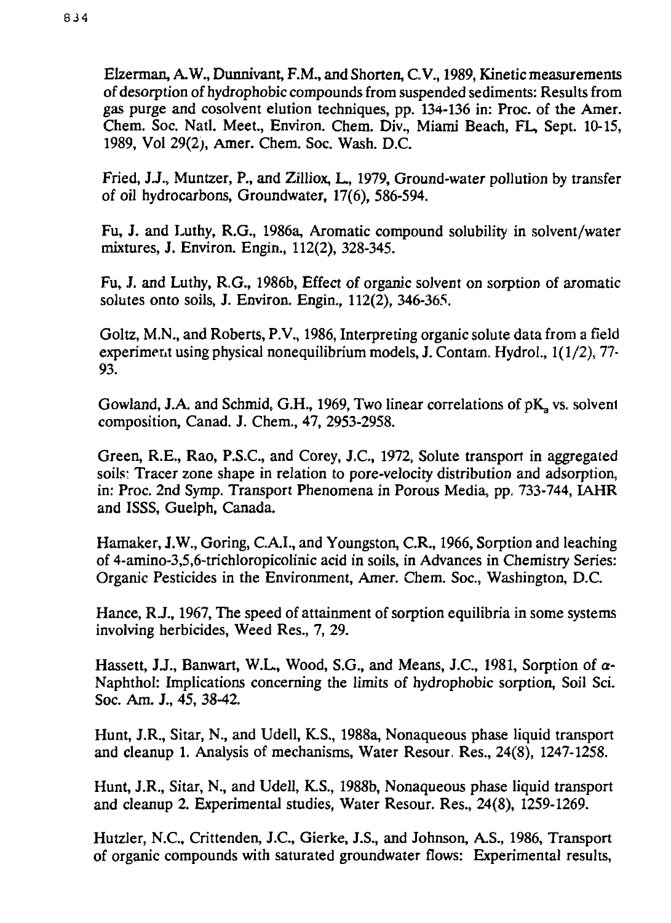Elzerman, A.W., Dunnivant, F.M., and Shorten, C.V., 1989, Kinetic measurements of desorption of hydrophobic compounds from suspended sediments: Results from gas purge and cosolvent elution techniques, pp. 134-136 in: Proc. of the Amer. Chem. Soc. Natl. Meet., Environ. Chem. Div., Miami Beach, FL, Sept. 10-15, 1989, Vol 29(2;, Amer. Chem. Soc. Wash. D.C.

Fried, J.J., Muntzer, P., and Zilliox, L., 1979, Ground-water pollution by transfer of oil hydrocarbons, Groundwater, 17(6), 586-594.

Fu, J. and Luthy, R.G., 1986a, Aromatic compound solubility in solvent/water mixtures, J. Environ. Engin., 112(2), 328-345.

Fu, J. and Luthy, R.G., 1986b, Effect of organic solvent on sorption of aromatic solutes onto soils, J. Environ. Engin., 112(2), 346-365.

Goltz, M.N., and Roberts, P.V., 1986, Interpreting organic solute data from a field experiment using physical nonequilibrium models, J. Contarn. Hydrol., 1(1/2), 77- 93.

Gowland, J.A. and Schmid, G.H., 1969, Two linear correlations of  $pK_a$  vs. solvent composition, Canad. J. Chem., 47, 2953-2958.

Green, R.E., Rao, P.S.C., and Corey, J.C., 1972, Solute transport in aggregated soils: Tracer zone shape in relation to pore-velocity distribution and adsorption, in: Proc. 2nd Symp. Transport Phenomena in Porous Media, pp, 733-744, IAHR and ISSS, Guelph, Canada.

Hamaker, J.W., Goring, C.A.I., and Youngston, C.R., 1966, Sorption and leaching of 4-amino-3,5,6-trichloropicolinic acid in soils, in Advances in Chemistry Series: Organic Pesticides in the Environment, Amer. Chem. Soc, Washington, D.C.

Hance, RJ., 1967, The speed of attainment of sorption equilibria in some systems involving herbicides, Weed Res., 7, 29.

Hassett, JJ., Banwart, W.L, Wood, S.G., and Means, J.C., 1981, Sorption of *a-*Naphthol: Implications concerning the limits of hydrophobic sorption, Soil Sci. Soc. Am. J., 45, 38-42.

Hunt, J.R., Sitar, N., and Udell, K.S., 1988a, Nonaqueous phase liquid transport and cleanup 1. Analysis of mechanisms, Water Resour, Res., 24(8), 1247-1258.

Hunt, J.R., Sitar, N., and Udell, K.S., 1988b, Nonaqueous phase liquid transport and cleanup 2. Experimental studies, Water Resour. Res., 24(8), 1259-1269.

Hutzler, N.C., Crittenden, J.C., Gierke, J.S., and Johnson, A.S., 1986, Transport of organic compounds with saturated groundwater flows: Experimental results,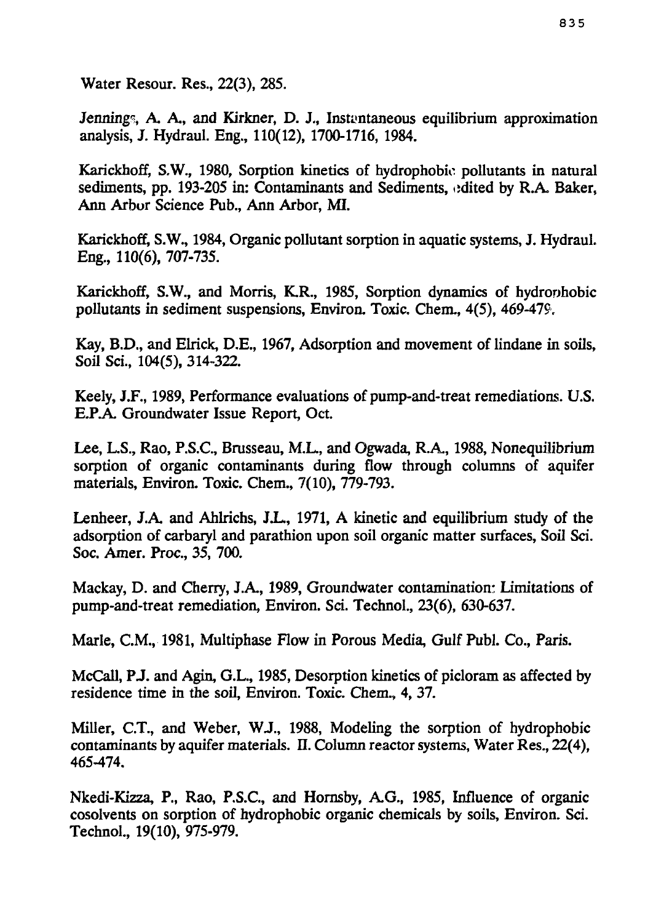Water Resour. Res., 22(3), 285.

Jennings, A. A., and Kirkner, D. J., Instantaneous equilibrium approximation analysis, J. Hydraul. Eng., 110(12), 1700-1716, 1984.

Karickhoff, S.W., 1980, Sorption kinetics of hydrophobio pollutants in natural sediments, pp. 193-205 in: Contaminants and Sediments, edited by R.A. Baker, Ann Arbor Science Pub., Ann Arbor, MI.

Karickhoff, S.W., 1984, Organic pollutant sorption in aquatic systems, J. Hydraul. Eng., 110(6), 707-735.

Karickhoff, S.W., and Morris, K.R., 1985, Sorption dynamics of hydronhobic pollutants in sediment suspensions, Environ. Toxic. Chem., 4(5), 469-479.

Kay, B.D., and Elrick, D.E., 1967, Adsorption and movement of lindane in soils, Soil Sci., 104(5), 314-322.

Keely, J.F., 1989, Performance evaluations of pump-and-treat remediations. U.S. E.P.A. Groundwater Issue Report, Oct.

Lee, L.S., Rao, P.S.C., Brusseau, M.L., and Ogwada, R.A., 1988, Nonequilibrium sorption of organic contaminants during flow through columns of aquifer materials, Environ. Toxic. Chem., 7(10), 779-793.

Lenheer, J.A. and Ahlrichs, J.L., 1971, A kinetic and equilibrium study of the adsorption of carbaryl and parathion upon soil organic matter surfaces, Soil Sci. Soc. Amer. Proc, 35, 700.

Mackay, D. and Cherry, J.A., 1989, Groundwater contamination: Limitations of pump-and-treat remediation, Environ. Sci. Technol., 23(6), 630-637.

Marie, CM., 1981, Multiphase Flow in Porous Media, Gulf Publ. *Co.,* Paris.

McCall, PJ. and Agin, G.L., 1985, Desorption kinetics of picloram as affected by residence time in the soil, Environ. Toxic. Chem., 4, 37.

Miller, C.T., and Weber, WJ., 1988, Modeling the sorption of hydrophobic contaminants by aquifer materials. II. Column reactor systems, Water Res., 22(4). 465-474.

Nkedi-Kizza, P., Rao, P.S.C., and Hornsby, A.G., 1985, Influence of organic cosolvents on sorption of hydrophobic organic chemicals by soils, Environ. Sci. Technol., 19(10), 975-979.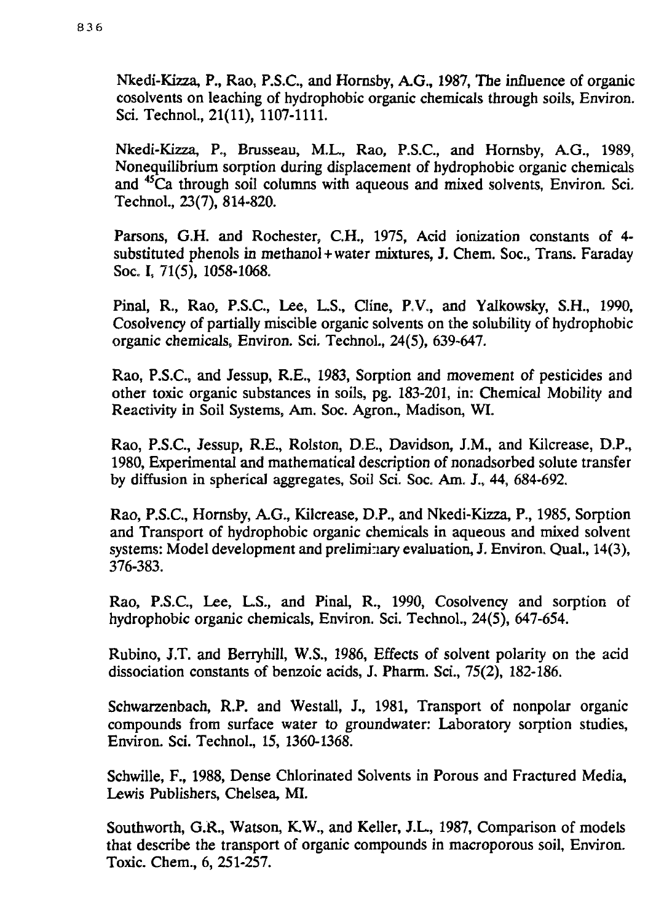Nkedi-Kizza, P., Rao, P.S.C., and Hornsby, A.G., 1987, The influence of organic cosolvents on leaching of hydrophobic organic chemicals through soils, Environ. Sci. Technol., 21(11), 1107-1111.

Nkedi-Kizza, P., Brusseau, M.L., Rao, P.S.C., and Hornsby, A.G., 1989, Nonequilibrium sorption during displacement of hydrophobic organic chemicals and <sup>45</sup>Ca through soil columns with aqueous and mixed solvents, Environ. Sci. Technol., 23(7), 814-820.

Parsons, G.H. and Rochester, C.H., 1975, Acid ionization constants of 4 substituted phenols in methanol + water mixtures, J. Chem. Soc., Trans. Faraday Soc. I, 71(5), 1058-1068.

Pinal, R., Rao, P.S.C., Lee, L.S., Cline, P.V., and Yalkowsky, S.H., 1990, Cosolvency of partially miscible organic solvents on the solubility of hydrophobic organic chemicals, Environ. Sci, Technol., 24(5), 639-647.

Rao, P.S.C., and Jessup, R.E., 1983, Sorption and movement of pesticides and other toxic organic substances in soils, pg. 183-201, in: Chemical Mobility and Reactivity in Soil Systems, Am. Soc. Agron., Madison, WI.

Rao, P.S.C., Jessup, R.E., Rolston, D.E., Davidson, J.M., and Kilcrease, D.P., 1980, Experimental and mathematical description of nonadsorbed solute transfer by diffusion in spherical aggregates, Soil Sci. Soc. Am. J., 44, 684-692.

Rao, P.S.C., Hornsby, A.G., Kilcrease, D.P., and Nkedi-Kizza, P., 1985, Sorption and Transport of hydrophobic organic chemicals in aqueous and mixed solvent systems: Model development and preliminary evaluation, J. Environ. Qual., 14(3), 376-383.

Rao, P.S.C., Lee, L.S., and Pinal, R., 1990, Cosolvency and sorption of hydrophobic organic chemicals, Environ. Sci. Technol., 24(5), 647-654.

Rubino, J.T. and Berryhill, W.S., 1986, Effects of solvent polarity on the acid dissociation constants of benzoic acids, J. Pharm. Sci., 75(2), 182-186.

Schwarzenbach, R.P. and Westall, J., 1981, Transport of nonpolar organic compounds from surface water *to* groundwater: Laboratory sorption studies, Environ. Sci. Technol., 15, 1360-1368.

Schwille, F., 1988, Dense Chlorinated Solvents in Porous and Fractured Media, Lewis Publishers, Chelsea, MI.

Southworth, *G.R.,* Watson, K.W., and Keller, J.L., 1987, Comparison of models that describe the transport of organic compounds in macroporous soil, Environ. Toxic. Chem., 6, 251-257.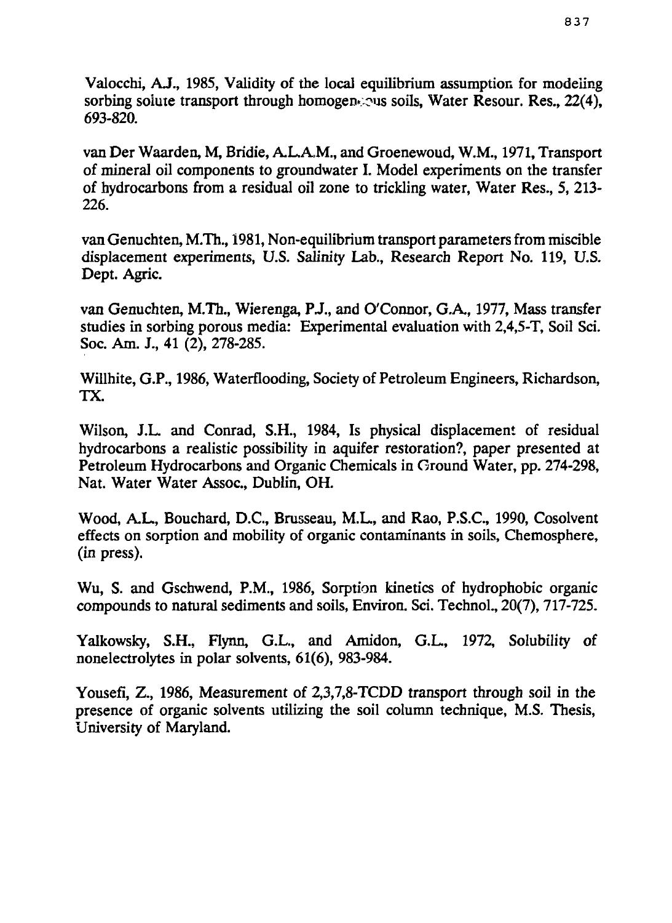Valocchi, AJ., 1985, Validity of the local equilibrium assumption for modeling sorbing solute transport through homogeneous soils. Water Resour. Res.,  $22(4)$ , 693-820.

van Der Waarden, M, Bridie, A.L.A.M., and Groenewoud, W.M., 1971, Transport of mineral oil components to groundwater I. Model experiments on the transfer of hydrocarbons from a residual oil zone to trickling water, Water Res., 5, 213- 226.

van Genuchten, M.Th., 1981, Non-equilibrium transport parameters from miscible displacement experiments, U.S. Salinity Lab., Research Report No. 119, U.S. Dept. Agric.

van Genuchten, M.Th., Wierenga, PJ., and O'Connor, G.A., 1977, Mass transfer studies in sorbing porous media: Experimental evaluation with 2,4,5-T, Soil Sci. Soc. Am. J., 41 (2), 278-285.

Willhite, G.P., 1986, Waterflooding, Society of Petroleum Engineers, Richardson, TX.

Wilson, J.L. and Conrad, S.H., 1984, Is physical displacement of residual hydrocarbons a realistic possibility in aquifer restoration?, paper presented at Petroleum Hydrocarbons and Organic Chemicals in Ground Water, pp. 274-298, Nat. Water Water Assoc, Dublin, OH.

Wood, A.L., Bouchard, D.C., Brusseau, M.L., and Rao, P.S.C., 1990, Cosolvent effects on sorption and mobility of organic contaminants in soils, Chemosphere, *(in* press).

Wu, S. and Gschwend, P.M., 1986, Sorption kinetics of hydrophobic organic compounds to natural sediments and soils, Environ. Sci. Technol., 20(7), 717-725.

Yalkowsky, S.H., Flynn, G.L., and Amidon, G.L., 1972, Solubility of nonelectrolytes in polar solvents, 61(6), 983-984.

Yousefi, Z., 1986, Measurement of 2,3,7,8-TCDD transport through soil in the presence of organic solvents utilizing the soil column technique, M.S. Thesis, University of Maryland.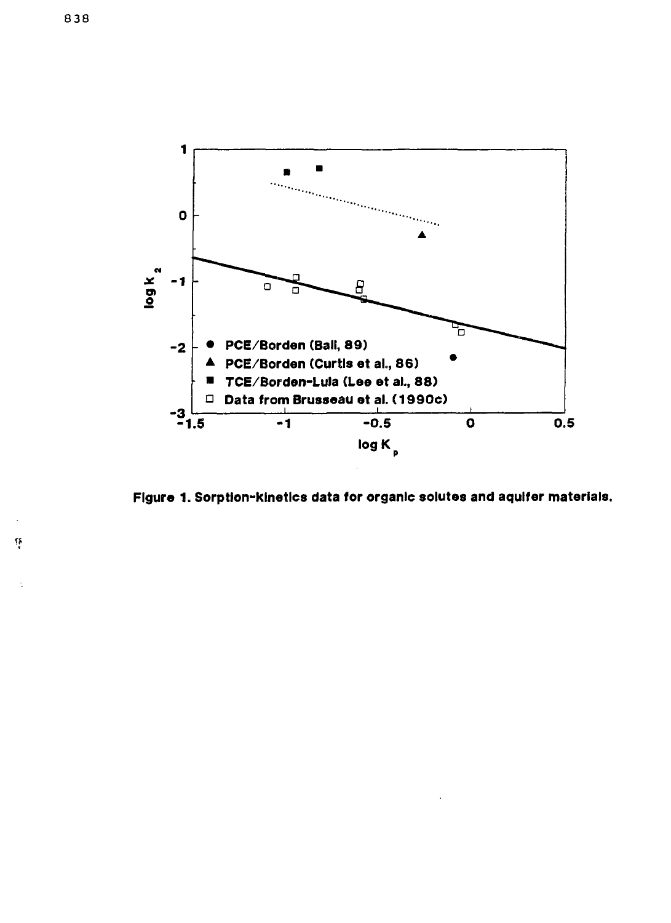

**Figure 1. Sorption-klnetlcs data for organic solutes and aquifer materials.**

 $\tilde{\Omega}$ 

÷.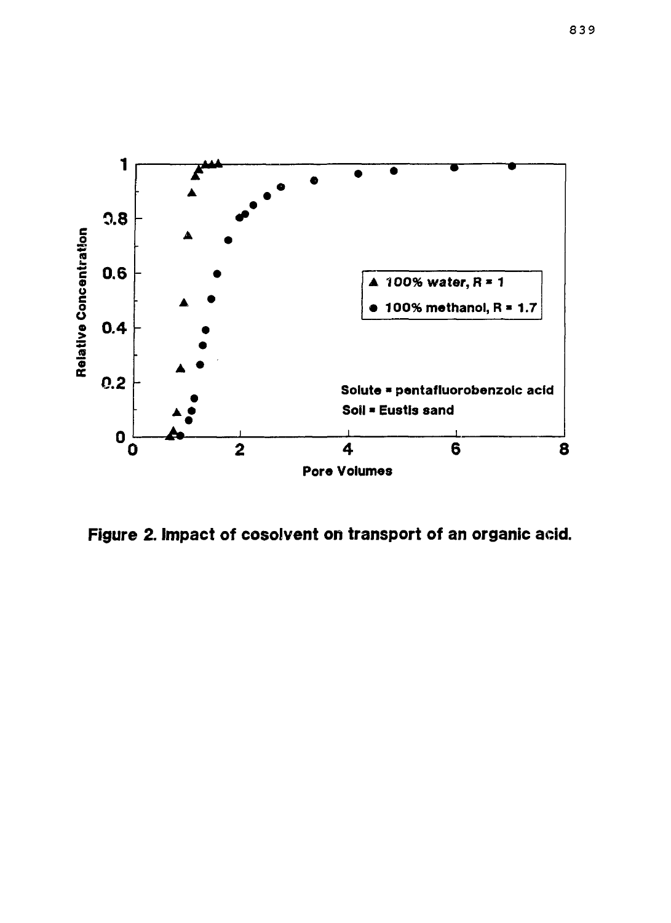

**Figure 2. Impact of cosolvent on transport of an organic acid.**